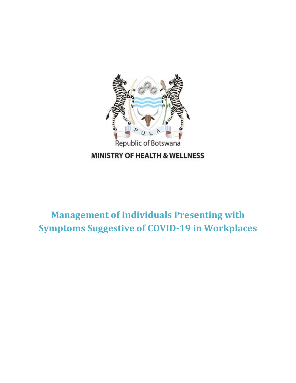

**Management of Individuals Presenting with Symptoms Suggestive of COVID-19 in Workplaces**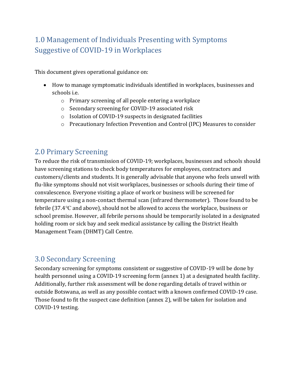# 1.0 Management of Individuals Presenting with Symptoms Suggestive of COVID-19 in Workplaces

This document gives operational guidance on:

- How to manage symptomatic individuals identified in workplaces, businesses and schools i.e.
	- o Primary screening of all people entering a workplace
	- o Secondary screening for COVID-19 associated risk
	- o Isolation of COVID-19 suspects in designated facilities
	- o Precautionary Infection Prevention and Control (IPC) Measures to consider

## 2.0 Primary Screening

To reduce the risk of transmission of COVID-19; workplaces, businesses and schools should have screening stations to check body temperatures for employees, contractors and customers/clients and students. It is generally advisable that anyone who feels unwell with flu-like symptoms should not visit workplaces, businesses or schools during their time of convalescence. Everyone visiting a place of work or business will be screened for temperature using a non-contact thermal scan (infrared thermometer). Those found to be febrile (37.4℃ and above), should not be allowed to access the workplace, business or school premise. However, all febrile persons should be temporarily isolated in a designated holding room or sick bay and seek medical assistance by calling the District Health Management Team (DHMT) Call Centre.

## 3.0 Secondary Screening

Secondary screening for symptoms consistent or suggestive of COVID-19 will be done by health personnel using a COVID-19 screening form (annex 1) at a designated health facility. Additionally, further risk assessment will be done regarding details of travel within or outside Botswana, as well as any possible contact with a known confirmed COVID-19 case. Those found to fit the suspect case definition (annex 2), will be taken for isolation and COVID-19 testing.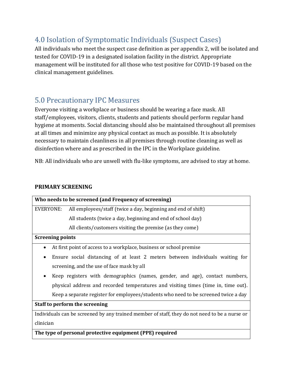# 4.0 Isolation of Symptomatic Individuals (Suspect Cases)

All individuals who meet the suspect case definition as per appendix 2, will be isolated and tested for COVID-19 in a designated isolation facility in the district. Appropriate management will be instituted for all those who test positive for COVID-19 based on the clinical management guidelines.

# 5.0 Precautionary IPC Measures

Everyone visiting a workplace or business should be wearing a face mask. All staff/employees, visitors, clients, students and patients should perform regular hand hygiene at moments. Social distancing should also be maintained throughout all premises at all times and minimize any physical contact as much as possible. It is absolutely necessary to maintain cleanliness in all premises through routine cleaning as well as disinfection where and as prescribed in the IPC in the Workplace guideline.

NB: All individuals who are unwell with flu-like symptoms, are advised to stay at home.

## **PRIMARY SCREENING**

| Who needs to be screened (and Frequency of screening)                                         |                                                                                     |  |  |  |
|-----------------------------------------------------------------------------------------------|-------------------------------------------------------------------------------------|--|--|--|
| EVERYONE:                                                                                     | All employees/staff (twice a day, beginning and end of shift)                       |  |  |  |
|                                                                                               | All students (twice a day, beginning and end of school day)                         |  |  |  |
|                                                                                               | All clients/customers visiting the premise (as they come)                           |  |  |  |
| <b>Screening points</b>                                                                       |                                                                                     |  |  |  |
| $\bullet$                                                                                     | At first point of access to a workplace, business or school premise                 |  |  |  |
| $\bullet$                                                                                     | Ensure social distancing of at least 2 meters between individuals waiting for       |  |  |  |
| screening, and the use of face mask by all                                                    |                                                                                     |  |  |  |
| $\bullet$                                                                                     | Keep registers with demographics (names, gender, and age), contact numbers,         |  |  |  |
|                                                                                               | physical address and recorded temperatures and visiting times (time in, time out).  |  |  |  |
|                                                                                               | Keep a separate register for employees/students who need to be screened twice a day |  |  |  |
| Staff to perform the screening                                                                |                                                                                     |  |  |  |
| Individuals can be screened by any trained member of staff, they do not need to be a nurse or |                                                                                     |  |  |  |
| clinician                                                                                     |                                                                                     |  |  |  |
| The type of personal protective equipment (PPE) required                                      |                                                                                     |  |  |  |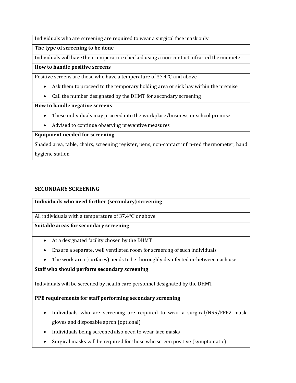Individuals who are screening are required to wear a surgical face mask only

**The type of screening to be done**

Individuals will have their temperature checked using a non-contact infra-red thermometer

#### **How to handle positive screens**

Positive screens are those who have a temperature of 37.4℃ and above

- Ask them to proceed to the temporary holding area or sick bay within the premise
- Call the number designated by the DHMT for secondary screening

#### **How to handle negative screens**

- These individuals may proceed into the workplace/business or school premise
- Advised to continue observing preventive measures

## **Equipment needed for screening**

Shaded area, table, chairs, screening register, pens, non-contact infra-red thermometer, hand hygiene station

## **SECONDARY SCREENING**

**Individuals who need further (secondary) screening**

All individuals with a temperature of 37.4℃ or above

**Suitable areas for secondary screening**

- At a designated facility chosen by the DHMT
- Ensure a separate, well ventilated room for screening of such individuals
- The work area (surfaces) needs to be thoroughly disinfected in-between each use

## **Staff who should perform secondary screening**

Individuals will be screened by health care personnel designated by the DHMT

## **PPE requirements for staff performing secondary screening**

- Individuals who are screening are required to wear a surgical/N95/FFP2 mask, gloves and disposable apron (optional)
- Individuals being screened also need to wear face masks
- Surgical masks will be required for those who screen positive (symptomatic)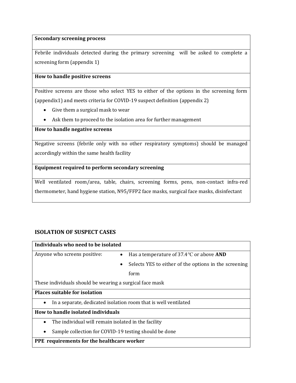#### **Secondary screening process**

Febrile individuals detected during the primary screening will be asked to complete a screening form (appendix 1)

#### **How to handle positive screens**

Positive screens are those who select YES to either of the options in the screening form (appendix1) and meets criteria for COVID-19 suspect definition (appendix 2)

- Give them a surgical mask to wear
- Ask them to proceed to the isolation area for further management

#### **How to handle negative screens**

Negative screens (febrile only with no other respiratory symptoms) should be managed accordingly within the same health facility

#### **Equipment required to perform secondary screening**

Well ventilated room/area, table, chairs, screening forms, pens, non-contact infra-red thermometer, hand hygiene station, N95/FFP2 face masks, surgical face masks, disinfectant

## **ISOLATION OF SUSPECT CASES**

| Individuals who need to be isolated                              |                                                       |  |  |  |  |
|------------------------------------------------------------------|-------------------------------------------------------|--|--|--|--|
| Anyone who screens positive:<br>$\bullet$                        | Has a temperature of $37.4$ °C or above AND           |  |  |  |  |
| ٠                                                                | Selects YES to either of the options in the screening |  |  |  |  |
|                                                                  | form                                                  |  |  |  |  |
| These individuals should be wearing a surgical face mask         |                                                       |  |  |  |  |
| <b>Places suitable for isolation</b>                             |                                                       |  |  |  |  |
| In a separate, dedicated isolation room that is well ventilated  |                                                       |  |  |  |  |
| How to handle isolated individuals                               |                                                       |  |  |  |  |
| The individual will remain isolated in the facility<br>$\bullet$ |                                                       |  |  |  |  |
| Sample collection for COVID-19 testing should be done            |                                                       |  |  |  |  |
| <b>PPE</b> requirements for the healthcare worker                |                                                       |  |  |  |  |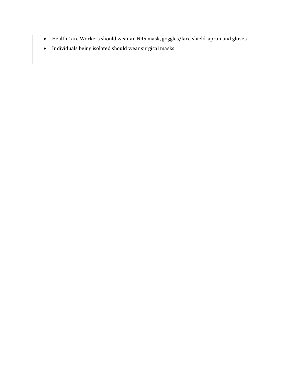- Health Care Workers should wear an N95 mask, goggles/face shield, apron and gloves
- Individuals being isolated should wear surgical masks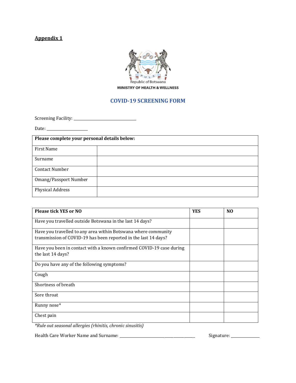## **Appendix 1**



#### **COVID-19 SCREENING FORM**

Screening Facility: \_\_\_\_\_\_\_\_\_\_\_\_\_\_\_\_\_\_\_\_\_\_\_\_\_\_\_\_\_\_\_\_\_\_\_

Date: \_\_\_\_\_\_\_\_\_\_\_\_\_\_\_\_\_\_\_\_\_\_\_

| Please complete your personal details below: |  |  |  |
|----------------------------------------------|--|--|--|
| First Name                                   |  |  |  |
| Surname                                      |  |  |  |
| <b>Contact Number</b>                        |  |  |  |
| Omang/Passport Number                        |  |  |  |
| <b>Physical Address</b>                      |  |  |  |

| Please tick YES or NO                                                | <b>YES</b> | N <sub>0</sub> |
|----------------------------------------------------------------------|------------|----------------|
| Have you travelled outside Botswana in the last 14 days?             |            |                |
| Have you travelled to any area within Botswana where community       |            |                |
| transmission of COVID-19 has been reported in the last 14 days?      |            |                |
| Have you been in contact with a known confirmed COVID-19 case during |            |                |
| the last 14 days?                                                    |            |                |
| Do you have any of the following symptoms?                           |            |                |
| Cough                                                                |            |                |
| Shortness of breath                                                  |            |                |
| Sore throat                                                          |            |                |
| Runny nose*                                                          |            |                |
| Chest pain                                                           |            |                |

*\*Rule out seasonal allergies (rhinitis, chronic sinusitis)*

Health Care Worker Name and Surname: \_\_\_\_\_\_\_\_\_\_\_\_\_\_\_\_\_\_\_\_\_\_\_\_\_\_\_\_\_\_\_\_\_\_\_\_\_\_\_\_\_\_ Signature: \_\_\_\_\_\_\_\_\_\_\_\_\_\_\_\_